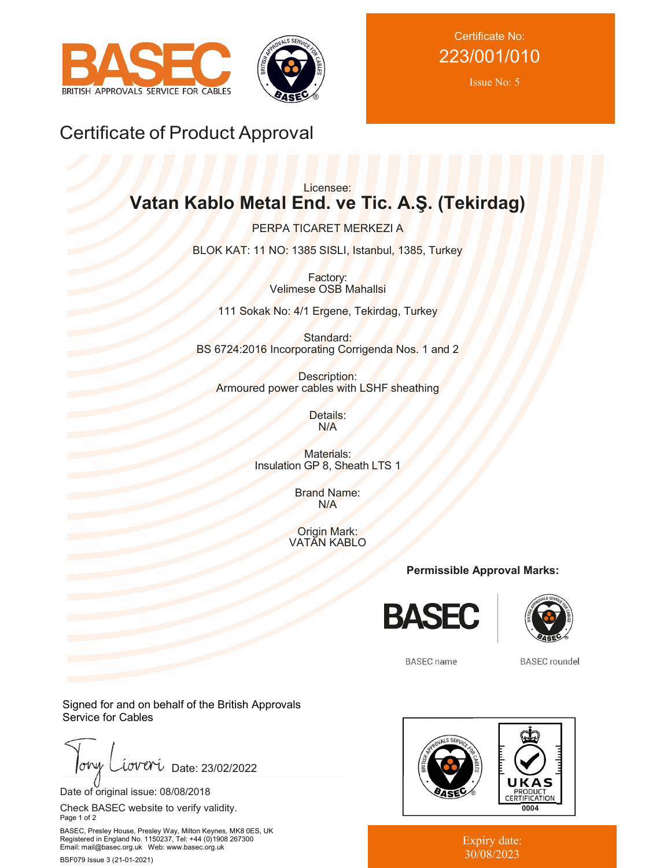



Certificate No: 223/001/010

Issue No: 5

## Certificate of Product Approval

## Licensee: **Vatan Kablo Metal End. ve Tic. A.Ş. (Tekirdag)**

PERPA TICARET MERKEZI A BLOK KAT: 11 NO: 1385 SISLI, Istanbul, 1385, Turkey

> Factory: Velimese OSB Mahallsi

111 Sokak No: 4/1 Ergene, Tekirdag, Turkey

Standard: BS 6724:2016 Incorporating Corrigenda Nos. 1 and 2

Description: Armoured power cables with LSHF sheathing

> Details: N/A

Materials: Insulation GP 8, Sheath LTS 1

> Brand Name: N/A

Origin Mark: VATAN KABLO

**Permissible Approval Marks:**





**BASEC** name

**BASEC** roundel

Signed for and on behalf of the British Approvals Service for Cables

ohy iover Date: 23/02/2022

Date of original issue: 08/08/2018

Check BASEC website to verify validity. Page 1 of 2

BASEC, Presley House, Presley Way, Milton Keynes, MK8 0ES, UK Registered in England No. 1150237, Tel: +44 (0)1908 267300 Email: mail@basec.org.uk Web: www.basec.org.uk

BSF079 Issue 3 (21-01-2021)



Expiry date: 30/08/2023